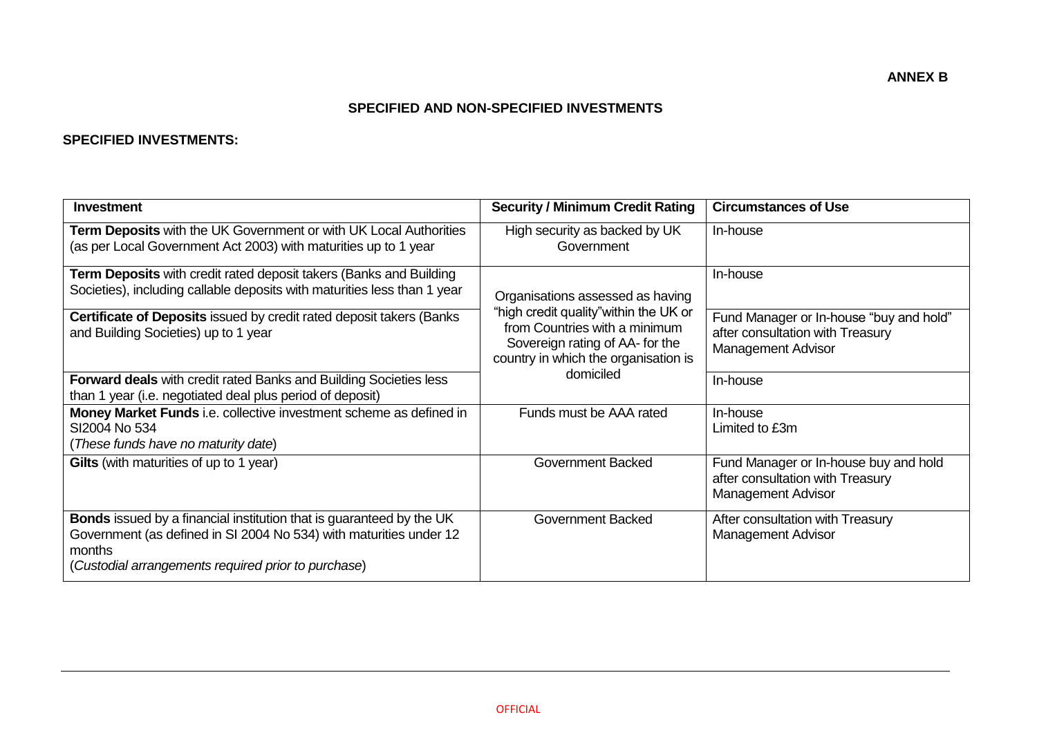## **SPECIFIED AND NON-SPECIFIED INVESTMENTS**

## **SPECIFIED INVESTMENTS:**

| Investment                                                                                                                                                                                                         | <b>Security / Minimum Credit Rating</b>                                                                                                            | <b>Circumstances of Use</b>                                                                            |
|--------------------------------------------------------------------------------------------------------------------------------------------------------------------------------------------------------------------|----------------------------------------------------------------------------------------------------------------------------------------------------|--------------------------------------------------------------------------------------------------------|
| Term Deposits with the UK Government or with UK Local Authorities<br>(as per Local Government Act 2003) with maturities up to 1 year                                                                               | High security as backed by UK<br>Government                                                                                                        | In-house                                                                                               |
| <b>Term Deposits</b> with credit rated deposit takers (Banks and Building<br>Societies), including callable deposits with maturities less than 1 year                                                              | Organisations assessed as having                                                                                                                   | In-house                                                                                               |
| <b>Certificate of Deposits issued by credit rated deposit takers (Banks)</b><br>and Building Societies) up to 1 year                                                                                               | "high credit quality" within the UK or<br>from Countries with a minimum<br>Sovereign rating of AA- for the<br>country in which the organisation is | Fund Manager or In-house "buy and hold"<br>after consultation with Treasury<br>Management Advisor      |
| <b>Forward deals</b> with credit rated Banks and Building Societies less<br>than 1 year (i.e. negotiated deal plus period of deposit)                                                                              | domiciled                                                                                                                                          | In-house                                                                                               |
| Money Market Funds i.e. collective investment scheme as defined in<br>SI2004 No 534<br>(These funds have no maturity date)                                                                                         | Funds must be AAA rated                                                                                                                            | In-house<br>Limited to £3m                                                                             |
| Gilts (with maturities of up to 1 year)                                                                                                                                                                            | <b>Government Backed</b>                                                                                                                           | Fund Manager or In-house buy and hold<br>after consultation with Treasury<br><b>Management Advisor</b> |
| <b>Bonds</b> issued by a financial institution that is guaranteed by the UK<br>Government (as defined in SI 2004 No 534) with maturities under 12<br>months<br>(Custodial arrangements required prior to purchase) | <b>Government Backed</b>                                                                                                                           | After consultation with Treasury<br><b>Management Advisor</b>                                          |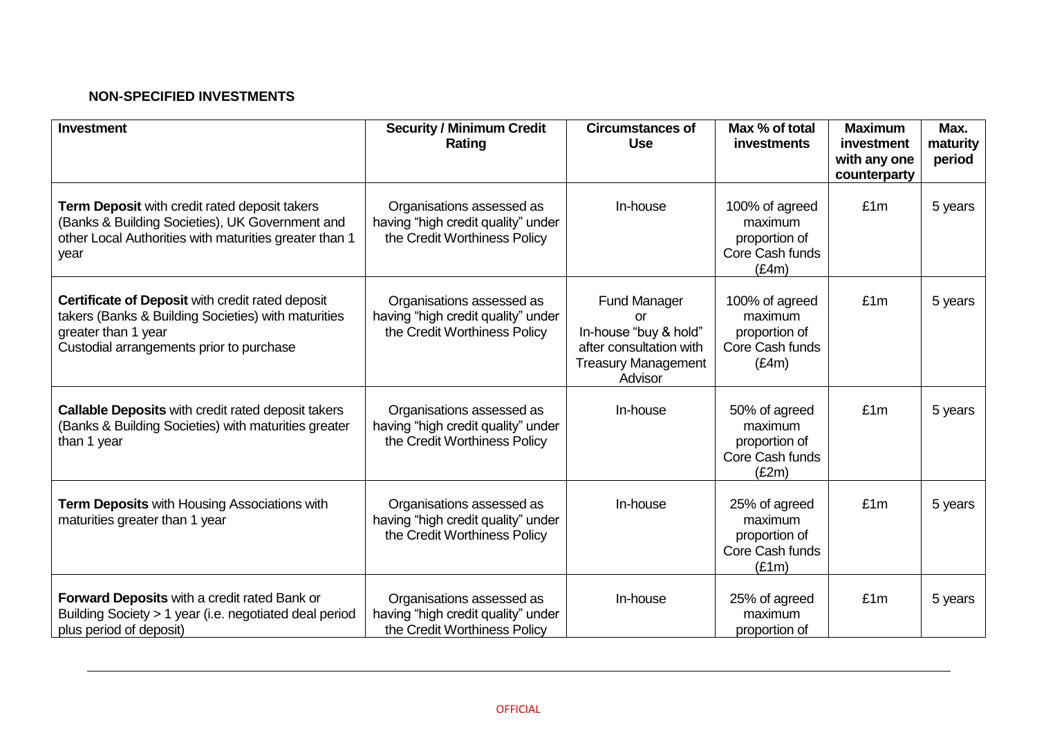# **NON-SPECIFIED INVESTMENTS**

| <b>Investment</b>                                                                                                                                                          | <b>Security / Minimum Credit</b><br>Rating                                                      | <b>Circumstances of</b><br><b>Use</b>                                                                           | Max % of total<br>investments                                          | <b>Maximum</b><br>investment<br>with any one<br>counterparty | Max.<br>maturity<br>period |
|----------------------------------------------------------------------------------------------------------------------------------------------------------------------------|-------------------------------------------------------------------------------------------------|-----------------------------------------------------------------------------------------------------------------|------------------------------------------------------------------------|--------------------------------------------------------------|----------------------------|
| Term Deposit with credit rated deposit takers<br>(Banks & Building Societies), UK Government and<br>other Local Authorities with maturities greater than 1<br>year         | Organisations assessed as<br>having "high credit quality" under<br>the Credit Worthiness Policy | In-house                                                                                                        | 100% of agreed<br>maximum<br>proportion of<br>Core Cash funds<br>(E4m) | £1m                                                          | 5 years                    |
| Certificate of Deposit with credit rated deposit<br>takers (Banks & Building Societies) with maturities<br>greater than 1 year<br>Custodial arrangements prior to purchase | Organisations assessed as<br>having "high credit quality" under<br>the Credit Worthiness Policy | Fund Manager<br>or<br>In-house "buy & hold"<br>after consultation with<br><b>Treasury Management</b><br>Advisor | 100% of agreed<br>maximum<br>proportion of<br>Core Cash funds<br>(E4m) | £1m                                                          | 5 years                    |
| Callable Deposits with credit rated deposit takers<br>(Banks & Building Societies) with maturities greater<br>than 1 year                                                  | Organisations assessed as<br>having "high credit quality" under<br>the Credit Worthiness Policy | In-house                                                                                                        | 50% of agreed<br>maximum<br>proportion of<br>Core Cash funds<br>(E2m)  | £1m                                                          | 5 years                    |
| <b>Term Deposits with Housing Associations with</b><br>maturities greater than 1 year                                                                                      | Organisations assessed as<br>having "high credit quality" under<br>the Credit Worthiness Policy | In-house                                                                                                        | 25% of agreed<br>maximum<br>proportion of<br>Core Cash funds<br>(E1m)  | £1m                                                          | 5 years                    |
| Forward Deposits with a credit rated Bank or<br>Building Society > 1 year (i.e. negotiated deal period<br>plus period of deposit)                                          | Organisations assessed as<br>having "high credit quality" under<br>the Credit Worthiness Policy | In-house                                                                                                        | 25% of agreed<br>maximum<br>proportion of                              | £1m                                                          | 5 years                    |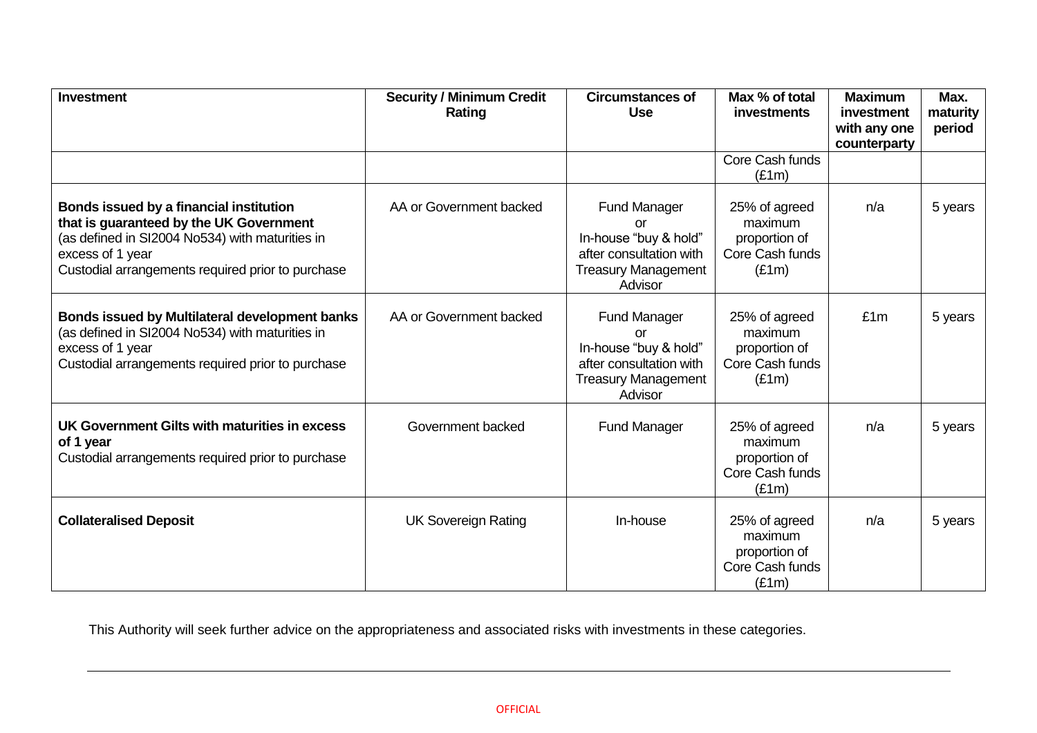| <b>Investment</b>                                                                                                                                                                                              | <b>Security / Minimum Credit</b><br>Rating | <b>Circumstances of</b><br><b>Use</b>                                                                                  | Max % of total<br><b>investments</b>                                  | <b>Maximum</b><br>investment<br>with any one<br>counterparty | Max.<br>maturity<br>period |
|----------------------------------------------------------------------------------------------------------------------------------------------------------------------------------------------------------------|--------------------------------------------|------------------------------------------------------------------------------------------------------------------------|-----------------------------------------------------------------------|--------------------------------------------------------------|----------------------------|
|                                                                                                                                                                                                                |                                            |                                                                                                                        | Core Cash funds<br>(E1m)                                              |                                                              |                            |
| Bonds issued by a financial institution<br>that is guaranteed by the UK Government<br>(as defined in SI2004 No534) with maturities in<br>excess of 1 year<br>Custodial arrangements required prior to purchase | AA or Government backed                    | <b>Fund Manager</b><br>or<br>In-house "buy & hold"<br>after consultation with<br><b>Treasury Management</b><br>Advisor | 25% of agreed<br>maximum<br>proportion of<br>Core Cash funds<br>(E1m) | n/a                                                          | 5 years                    |
| <b>Bonds issued by Multilateral development banks</b><br>(as defined in SI2004 No534) with maturities in<br>excess of 1 year<br>Custodial arrangements required prior to purchase                              | AA or Government backed                    | <b>Fund Manager</b><br>or<br>In-house "buy & hold"<br>after consultation with<br><b>Treasury Management</b><br>Advisor | 25% of agreed<br>maximum<br>proportion of<br>Core Cash funds<br>(E1m) | £1m                                                          | 5 years                    |
| UK Government Gilts with maturities in excess<br>of 1 year<br>Custodial arrangements required prior to purchase                                                                                                | Government backed                          | <b>Fund Manager</b>                                                                                                    | 25% of agreed<br>maximum<br>proportion of<br>Core Cash funds<br>(E1m) | n/a                                                          | 5 years                    |
| <b>Collateralised Deposit</b>                                                                                                                                                                                  | <b>UK Sovereign Rating</b>                 | In-house                                                                                                               | 25% of agreed<br>maximum<br>proportion of<br>Core Cash funds<br>(E1m) | n/a                                                          | 5 years                    |

This Authority will seek further advice on the appropriateness and associated risks with investments in these categories.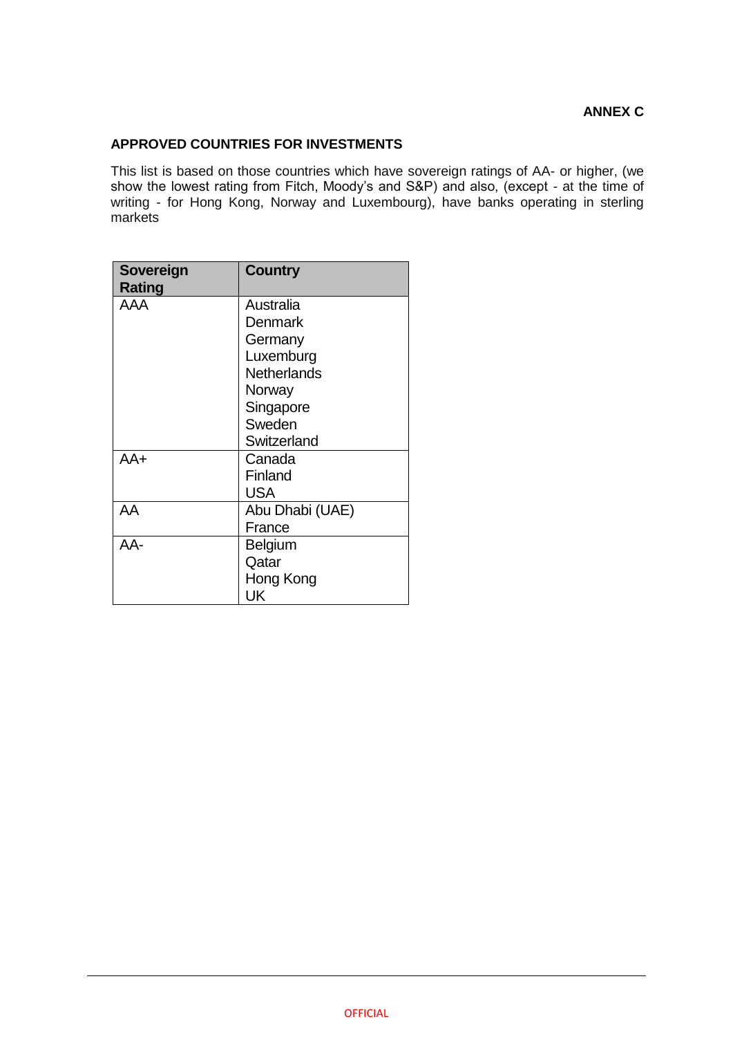## **APPROVED COUNTRIES FOR INVESTMENTS**

This list is based on those countries which have sovereign ratings of AA- or higher, (we show the lowest rating from Fitch, Moody's and S&P) and also, (except - at the time of writing - for Hong Kong, Norway and Luxembourg), have banks operating in sterling markets

| Sovereign<br><b>Rating</b> | <b>Country</b>  |
|----------------------------|-----------------|
| AAA                        | Australia       |
|                            | Denmark         |
|                            | Germany         |
|                            | Luxemburg       |
|                            | Netherlands     |
|                            | Norway          |
|                            | Singapore       |
|                            | Sweden          |
|                            | Switzerland     |
| AA+                        | Canada          |
|                            | Finland         |
|                            | USA             |
| AA                         | Abu Dhabi (UAE) |
|                            | France          |
| AA-                        | <b>Belgium</b>  |
|                            | Qatar           |
|                            | Hong Kong       |
|                            | UK              |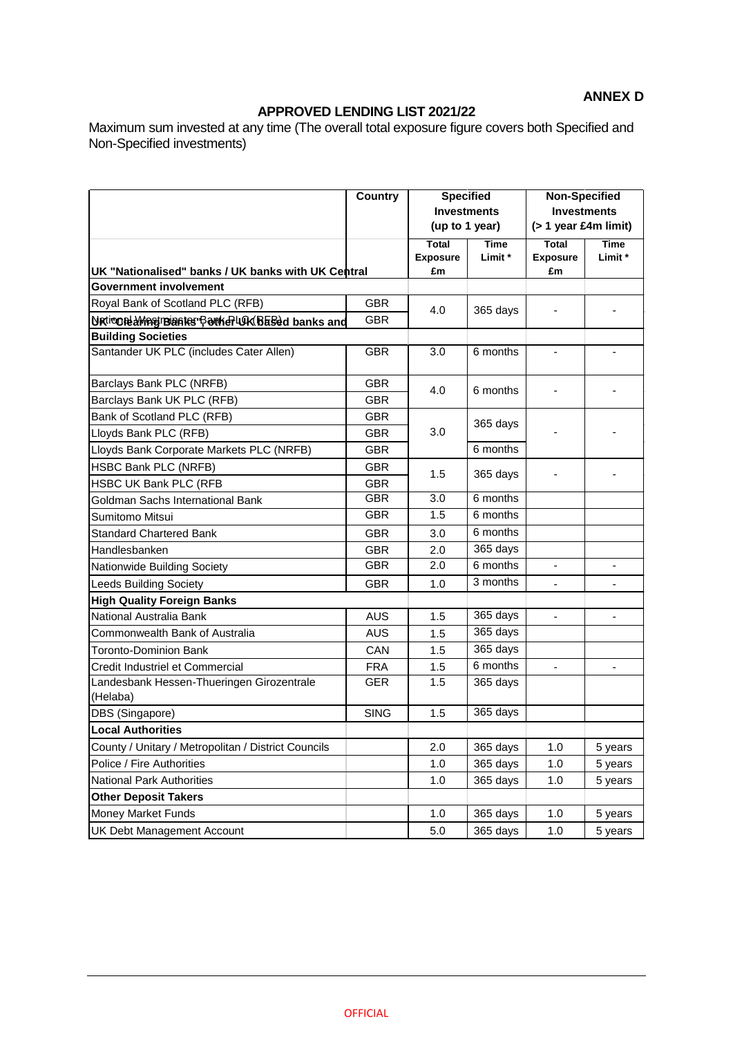## **ANNEX D**

## **APPROVED LENDING LIST 2021/22**

Maximum sum invested at any time (The overall total exposure figure covers both Specified and Non-Specified investments)

|                                                     | <b>Country</b> | <b>Specified</b><br><b>Investments</b><br>(up to 1 year) |             | <b>Non-Specified</b><br><b>Investments</b> |                |  |
|-----------------------------------------------------|----------------|----------------------------------------------------------|-------------|--------------------------------------------|----------------|--|
|                                                     |                |                                                          |             |                                            |                |  |
|                                                     |                |                                                          |             | $($ > 1 year £4m limit)                    |                |  |
|                                                     |                | <b>Total</b>                                             | <b>Time</b> | <b>Total</b>                               | <b>Time</b>    |  |
|                                                     |                | <b>Exposure</b>                                          | Limit *     | <b>Exposure</b>                            | Limit*         |  |
| UK "Nationalised" banks / UK banks with UK Central  |                | £m                                                       |             | £m                                         |                |  |
| Government involvement                              |                |                                                          |             |                                            |                |  |
| Royal Bank of Scotland PLC (RFB)                    | <b>GBR</b>     | 4.0                                                      | 365 days    |                                            |                |  |
| Urtione Magineantes BotherLUK Based banks and       | <b>GBR</b>     |                                                          |             |                                            |                |  |
| <b>Building Societies</b>                           |                |                                                          |             |                                            |                |  |
| Santander UK PLC (includes Cater Allen)             | <b>GBR</b>     | 3.0                                                      | 6 months    |                                            |                |  |
| Barclays Bank PLC (NRFB)                            | <b>GBR</b>     | 4.0                                                      | 6 months    |                                            |                |  |
| Barclays Bank UK PLC (RFB)                          | <b>GBR</b>     |                                                          |             |                                            |                |  |
| Bank of Scotland PLC (RFB)                          | <b>GBR</b>     |                                                          |             |                                            |                |  |
| Lloyds Bank PLC (RFB)                               | <b>GBR</b>     | 3.0                                                      | 365 days    |                                            |                |  |
| Lloyds Bank Corporate Markets PLC (NRFB)            | <b>GBR</b>     |                                                          | 6 months    |                                            |                |  |
| HSBC Bank PLC (NRFB)                                | <b>GBR</b>     | 1.5                                                      |             |                                            |                |  |
| HSBC UK Bank PLC (RFB                               | <b>GBR</b>     |                                                          | 365 days    |                                            |                |  |
| Goldman Sachs International Bank                    | <b>GBR</b>     | 3.0                                                      | 6 months    |                                            |                |  |
| Sumitomo Mitsui                                     | <b>GBR</b>     | 1.5                                                      | 6 months    |                                            |                |  |
| <b>Standard Chartered Bank</b>                      | <b>GBR</b>     | 3.0                                                      | 6 months    |                                            |                |  |
| Handlesbanken                                       | <b>GBR</b>     | 2.0                                                      | 365 days    |                                            |                |  |
| Nationwide Building Society                         | <b>GBR</b>     | 2.0                                                      | 6 months    |                                            |                |  |
| <b>Leeds Building Society</b>                       | <b>GBR</b>     | 1.0                                                      | 3 months    | ۰                                          |                |  |
| <b>High Quality Foreign Banks</b>                   |                |                                                          |             |                                            |                |  |
| National Australia Bank                             | <b>AUS</b>     | 1.5                                                      | 365 days    | L.                                         |                |  |
| Commonwealth Bank of Australia                      | <b>AUS</b>     | 1.5                                                      | 365 days    |                                            |                |  |
| Toronto-Dominion Bank                               | CAN            | 1.5                                                      | 365 days    |                                            |                |  |
| Credit Industriel et Commercial                     | <b>FRA</b>     | 1.5                                                      | $6$ months  | $\blacksquare$                             | $\blacksquare$ |  |
| Landesbank Hessen-Thueringen Girozentrale           | <b>GER</b>     | 1.5                                                      | 365 days    |                                            |                |  |
| (Helaba)                                            |                |                                                          |             |                                            |                |  |
| DBS (Singapore)                                     | <b>SING</b>    | 1.5                                                      | 365 days    |                                            |                |  |
| <b>Local Authorities</b>                            |                |                                                          |             |                                            |                |  |
| County / Unitary / Metropolitan / District Councils |                | 2.0                                                      | 365 days    | $1.0$                                      | 5 years        |  |
| Police / Fire Authorities                           |                | 1.0                                                      | 365 days    | 1.0                                        | 5 years        |  |
| National Park Authorities                           |                | 1.0                                                      | 365 days    | 1.0                                        | 5 years        |  |
| <b>Other Deposit Takers</b>                         |                |                                                          |             |                                            |                |  |
| Money Market Funds                                  |                | 1.0                                                      | 365 days    | 1.0                                        | 5 years        |  |
| <b>UK Debt Management Account</b>                   |                | 5.0                                                      | 365 days    | 1.0                                        | 5 years        |  |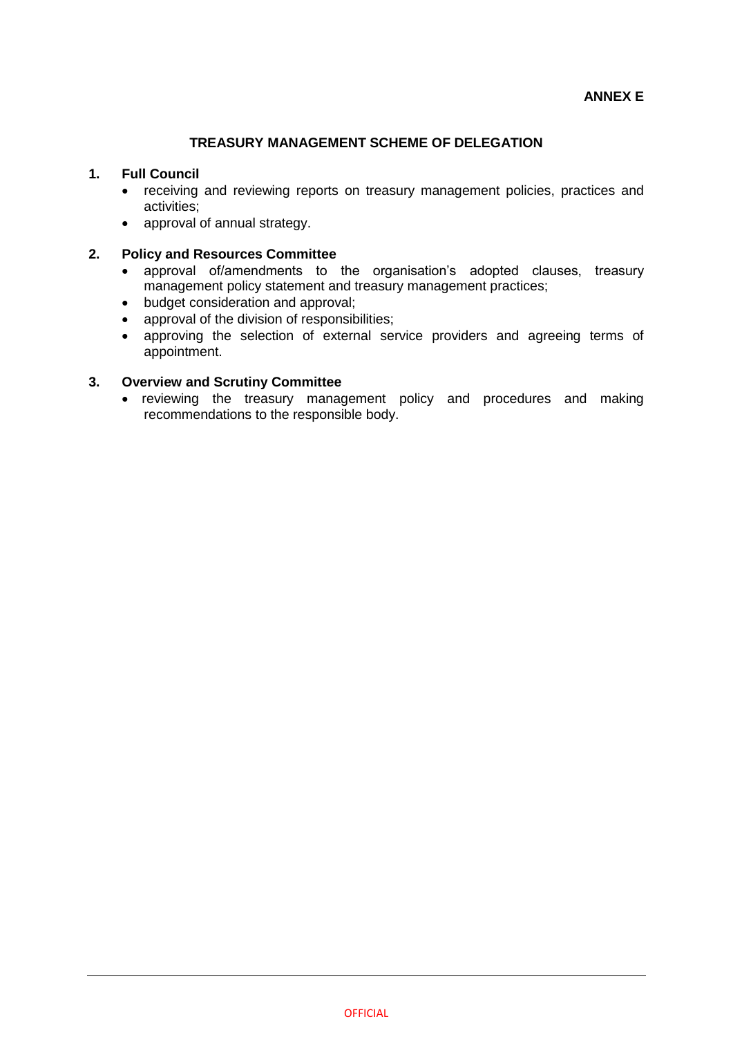## **TREASURY MANAGEMENT SCHEME OF DELEGATION**

### **1. Full Council**

- receiving and reviewing reports on treasury management policies, practices and activities;
- approval of annual strategy.

### **2. Policy and Resources Committee**

- approval of/amendments to the organisation's adopted clauses, treasury management policy statement and treasury management practices;
- budget consideration and approval;
- approval of the division of responsibilities;
- approving the selection of external service providers and agreeing terms of appointment.

### **3. Overview and Scrutiny Committee**

• reviewing the treasury management policy and procedures and making recommendations to the responsible body.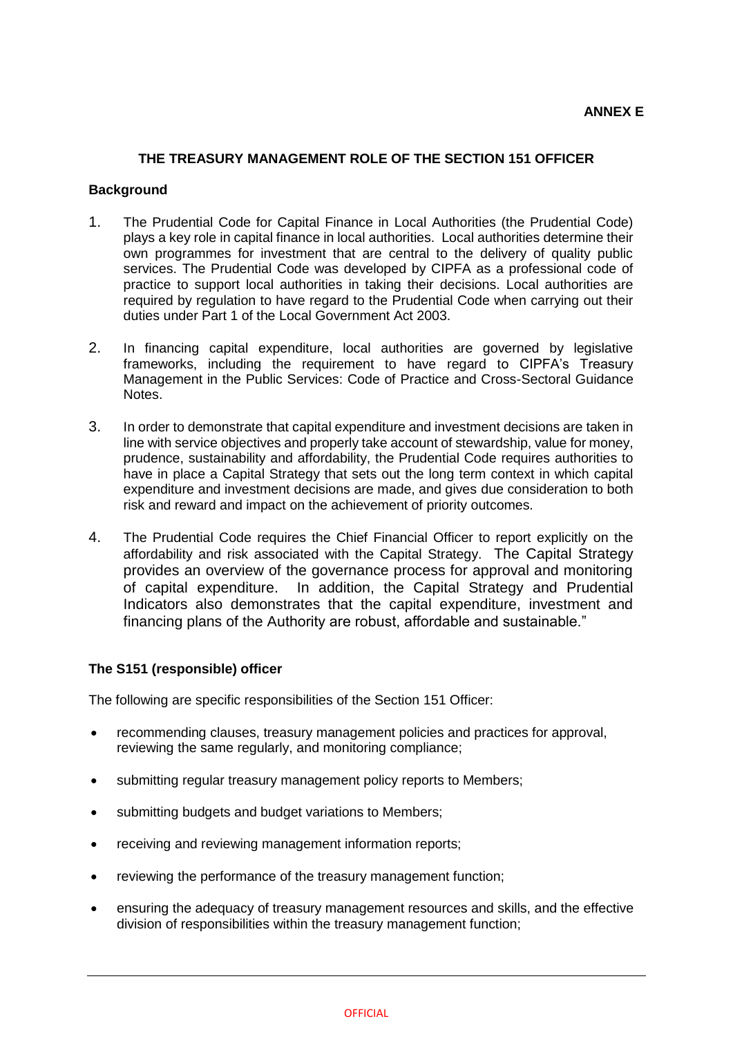### **THE TREASURY MANAGEMENT ROLE OF THE SECTION 151 OFFICER**

#### **Background**

- 1. The Prudential Code for Capital Finance in Local Authorities (the Prudential Code) plays a key role in capital finance in local authorities. Local authorities determine their own programmes for investment that are central to the delivery of quality public services. The Prudential Code was developed by CIPFA as a professional code of practice to support local authorities in taking their decisions. Local authorities are required by regulation to have regard to the Prudential Code when carrying out their duties under Part 1 of the Local Government Act 2003.
- 2. In financing capital expenditure, local authorities are governed by legislative frameworks, including the requirement to have regard to CIPFA's Treasury Management in the Public Services: Code of Practice and Cross-Sectoral Guidance Notes.
- 3. In order to demonstrate that capital expenditure and investment decisions are taken in line with service objectives and properly take account of stewardship, value for money, prudence, sustainability and affordability, the Prudential Code requires authorities to have in place a Capital Strategy that sets out the long term context in which capital expenditure and investment decisions are made, and gives due consideration to both risk and reward and impact on the achievement of priority outcomes.
- 4. The Prudential Code requires the Chief Financial Officer to report explicitly on the affordability and risk associated with the Capital Strategy. The Capital Strategy provides an overview of the governance process for approval and monitoring of capital expenditure. In addition, the Capital Strategy and Prudential Indicators also demonstrates that the capital expenditure, investment and financing plans of the Authority are robust, affordable and sustainable."

#### **The S151 (responsible) officer**

The following are specific responsibilities of the Section 151 Officer:

- recommending clauses, treasury management policies and practices for approval, reviewing the same regularly, and monitoring compliance;
- submitting regular treasury management policy reports to Members;
- submitting budgets and budget variations to Members;
- receiving and reviewing management information reports;
- reviewing the performance of the treasury management function;
- ensuring the adequacy of treasury management resources and skills, and the effective division of responsibilities within the treasury management function;